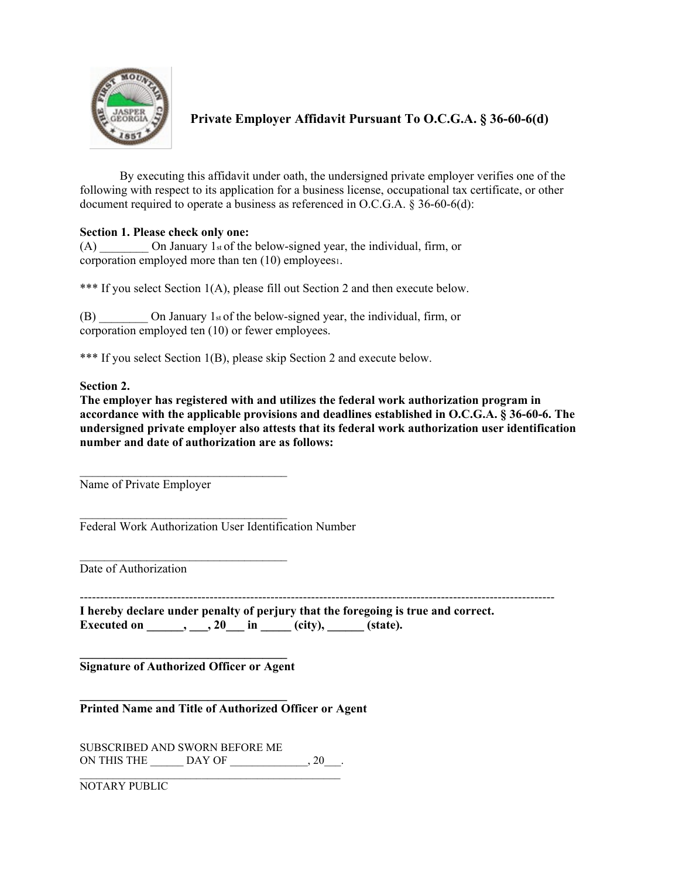

**Private Employer Affidavit Pursuant To O.C.G.A. § 36-60-6(d)**

By executing this affidavit under oath, the undersigned private employer verifies one of the following with respect to its application for a business license, occupational tax certificate, or other document required to operate a business as referenced in O.C.G.A. § 36-60-6(d):

## **Section 1. Please check only one:**

(A)  $\qquad \qquad$  On January 1st of the below-signed year, the individual, firm, or corporation employed more than ten (10) employees1.

\*\*\* If you select Section 1(A), please fill out Section 2 and then execute below.

(B)  $\qquad \qquad$  On January 1st of the below-signed year, the individual, firm, or corporation employed ten (10) or fewer employees.

\*\*\* If you select Section 1(B), please skip Section 2 and execute below.

## **Section 2.**

**The employer has registered with and utilizes the federal work authorization program in accordance with the applicable provisions and deadlines established in O.C.G.A. § 36-60-6. The undersigned private employer also attests that its federal work authorization user identification number and date of authorization are as follows:**

Name of Private Employer

 $\mathcal{L}_\text{max}$  , where  $\mathcal{L}_\text{max}$  is the set of the set of the set of the set of the set of the set of the set of the set of the set of the set of the set of the set of the set of the set of the set of the set of the se

 $\mathcal{L}_\text{max}$  , where  $\mathcal{L}_\text{max}$  is the set of the set of the set of the set of the set of the set of the set of the set of the set of the set of the set of the set of the set of the set of the set of the set of the se

 $\frac{1}{2}$  ,  $\frac{1}{2}$  ,  $\frac{1}{2}$  ,  $\frac{1}{2}$  ,  $\frac{1}{2}$  ,  $\frac{1}{2}$  ,  $\frac{1}{2}$  ,  $\frac{1}{2}$  ,  $\frac{1}{2}$  ,  $\frac{1}{2}$  ,  $\frac{1}{2}$  ,  $\frac{1}{2}$  ,  $\frac{1}{2}$  ,  $\frac{1}{2}$  ,  $\frac{1}{2}$  ,  $\frac{1}{2}$  ,  $\frac{1}{2}$  ,  $\frac{1}{2}$  ,  $\frac{1$ Federal Work Authorization User Identification Number

Date of Authorization

**I hereby declare under penalty of perjury that the foregoing is true and correct. Executed on \_\_\_\_\_\_, \_\_\_, 20**\_\_\_ in \_\_\_\_ (city), \_\_\_\_\_\_ (state).

**\_\_\_\_\_\_\_\_\_\_\_\_\_\_\_\_\_\_\_\_\_\_\_\_\_\_\_\_\_\_\_\_\_\_ Signature of Authorized Officer or Agent**

**\_\_\_\_\_\_\_\_\_\_\_\_\_\_\_\_\_\_\_\_\_\_\_\_\_\_\_\_\_\_\_\_\_\_ Printed Name and Title of Authorized Officer or Agent**

SUBSCRIBED AND SWORN BEFORE ME ON THIS THE \_\_\_\_\_\_\_ DAY OF \_\_\_\_\_\_\_\_\_\_\_\_\_, 20\_\_\_. \_\_\_\_\_\_\_\_\_\_\_\_\_\_\_\_\_\_\_\_\_\_\_\_\_\_\_\_\_\_\_\_\_\_\_\_\_\_\_\_\_\_\_\_\_\_\_

NOTARY PUBLIC